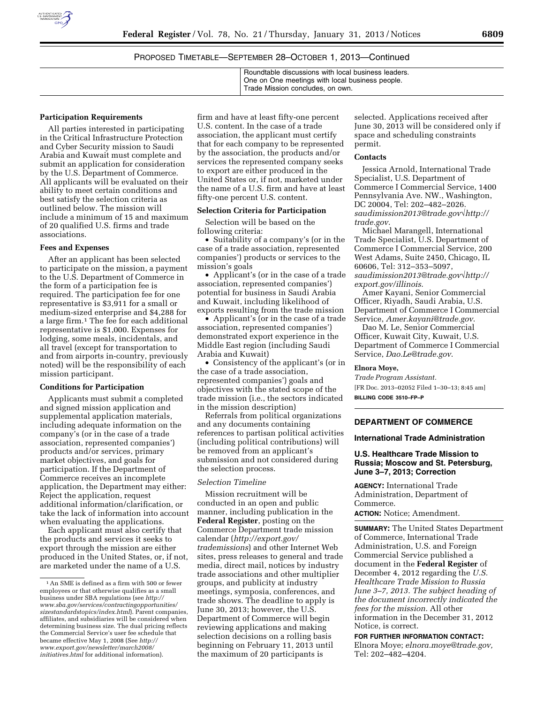

| Roundtable discussions with local business leaders. |
|-----------------------------------------------------|
| One on One meetings with local business people.     |
| <sup>1</sup> Trade Mission concludes, on own.       |
|                                                     |

#### **Participation Requirements**

All parties interested in participating in the Critical Infrastructure Protection and Cyber Security mission to Saudi Arabia and Kuwait must complete and submit an application for consideration by the U.S. Department of Commerce. All applicants will be evaluated on their ability to meet certain conditions and best satisfy the selection criteria as outlined below. The mission will include a minimum of 15 and maximum of 20 qualified U.S. firms and trade associations.

#### **Fees and Expenses**

After an applicant has been selected to participate on the mission, a payment to the U.S. Department of Commerce in the form of a participation fee is required. The participation fee for one representative is \$3,911 for a small or medium-sized enterprise and \$4,288 for a large firm.1 The fee for each additional representative is \$1,000. Expenses for lodging, some meals, incidentals, and all travel (except for transportation to and from airports in-country, previously noted) will be the responsibility of each mission participant.

#### **Conditions for Participation**

Applicants must submit a completed and signed mission application and supplemental application materials, including adequate information on the company's (or in the case of a trade association, represented companies') products and/or services, primary market objectives, and goals for participation. If the Department of Commerce receives an incomplete application, the Department may either: Reject the application, request additional information/clarification, or take the lack of information into account when evaluating the applications.

Each applicant must also certify that the products and services it seeks to export through the mission are either produced in the United States, or, if not, are marketed under the name of a U.S.

firm and have at least fifty-one percent U.S. content. In the case of a trade association, the applicant must certify that for each company to be represented by the association, the products and/or services the represented company seeks to export are either produced in the United States or, if not, marketed under the name of a U.S. firm and have at least fifty-one percent U.S. content.

# **Selection Criteria for Participation**

Selection will be based on the following criteria:

• Suitability of a company's (or in the case of a trade association, represented companies') products or services to the mission's goals

• Applicant's (or in the case of a trade association, represented companies') potential for business in Saudi Arabia and Kuwait, including likelihood of exports resulting from the trade mission

• Applicant's (or in the case of a trade association, represented companies') demonstrated export experience in the Middle East region (including Saudi Arabia and Kuwait)

• Consistency of the applicant's (or in the case of a trade association, represented companies') goals and objectives with the stated scope of the trade mission (i.e., the sectors indicated in the mission description)

Referrals from political organizations and any documents containing references to partisan political activities (including political contributions) will be removed from an applicant's submission and not considered during the selection process.

# *Selection Timeline*

Mission recruitment will be conducted in an open and public manner, including publication in the **Federal Register**, posting on the Commerce Department trade mission calendar (*[http://export.gov/](http://export.gov/trademissions) [trademissions](http://export.gov/trademissions)*) and other Internet Web sites, press releases to general and trade media, direct mail, notices by industry trade associations and other multiplier groups, and publicity at industry meetings, symposia, conferences, and trade shows. The deadline to apply is June 30, 2013; however, the U.S. Department of Commerce will begin reviewing applications and making selection decisions on a rolling basis beginning on February 11, 2013 until the maximum of 20 participants is

selected. Applications received after June 30, 2013 will be considered only if space and scheduling constraints permit.

#### **Contacts**

Jessica Arnold, International Trade Specialist, U.S. Department of Commerce I Commercial Service, 1400 Pennsylvania Ave. NW., Washington, DC 20004, Tel: 202–482–2026. *[saudimission2013@trade.gov](http://audimission2013@trade.gov%E2%88%9A)*√*[http://](http://trade.gov)  [trade.gov](http://trade.gov)*.

Michael Marangell, International Trade Specialist, U.S. Department of Commerce I Commercial Service, 200 West Adams, Suite 2450, Chicago, IL 60606, Tel: 312–353–5097, *[saudimission2013@trade.gov](http://saudimission2013@trade.gov)*√*[http://](http://export.gov/illinois) [export.gov/illinois](http://export.gov/illinois)*.

Amer Kayani, Senior Commercial Officer, Riyadh, Saudi Arabia, U.S. Department of Commerce I Commercial Service, *[Amer.kayani@trade.gov](mailto:Amer.kayani@trade.gov)*.

Dao M. Le, Senior Commercial Officer, Kuwait City, Kuwait, U.S. Department of Commerce I Commercial Service, *[Dao.Le@trade.gov](mailto:Dao.Le@trade.gov)*.

#### **Elnora Moye,**

*Trade Program Assistant.*  [FR Doc. 2013–02052 Filed 1–30–13; 8:45 am] **BILLING CODE 3510–FP–P** 

#### **DEPARTMENT OF COMMERCE**

#### **International Trade Administration**

# **U.S. Healthcare Trade Mission to Russia; Moscow and St. Petersburg, June 3–7, 2013; Correction**

**AGENCY:** International Trade Administration, Department of Commerce. **ACTION:** Notice; Amendment.

**SUMMARY:** The United States Department of Commerce, International Trade Administration, U.S. and Foreign Commercial Service published a document in the **Federal Register** of December 4, 2012 regarding the *U.S. Healthcare Trade Mission to Russia June 3–7, 2013. The subject heading of the document incorrectly indicated the fees for the mission.* All other information in the December 31, 2012 Notice, is correct.

#### **FOR FURTHER INFORMATION CONTACT:**

Elnora Moye; *[elnora.moye@trade.gov,](mailto:elnora.moye@trade.gov)*  Tel: 202–482–4204.

<sup>1</sup>An SME is defined as a firm with 500 or fewer employees or that otherwise qualifies as a small business under SBA regulations (see *[http://](http://www.sba.gov/services/contractingopportunities/sizestandardstopics/index.html) [www.sba.gov/services/contractingopportunities/](http://www.sba.gov/services/contractingopportunities/sizestandardstopics/index.html)  [sizestandardstopics/index.html](http://www.sba.gov/services/contractingopportunities/sizestandardstopics/index.html)*). Parent companies, affiliates, and subsidiaries will be considered when determining business size. The dual pricing reflects the Commercial Service's user fee schedule that became effective May 1, 2008 (See *[http://](http://www.export.gov/newsletter/march2008/initiatives.html)  [www.export.gov/newsletter/march2008/](http://www.export.gov/newsletter/march2008/initiatives.html)  [initiatives.html](http://www.export.gov/newsletter/march2008/initiatives.html)* for additional information).